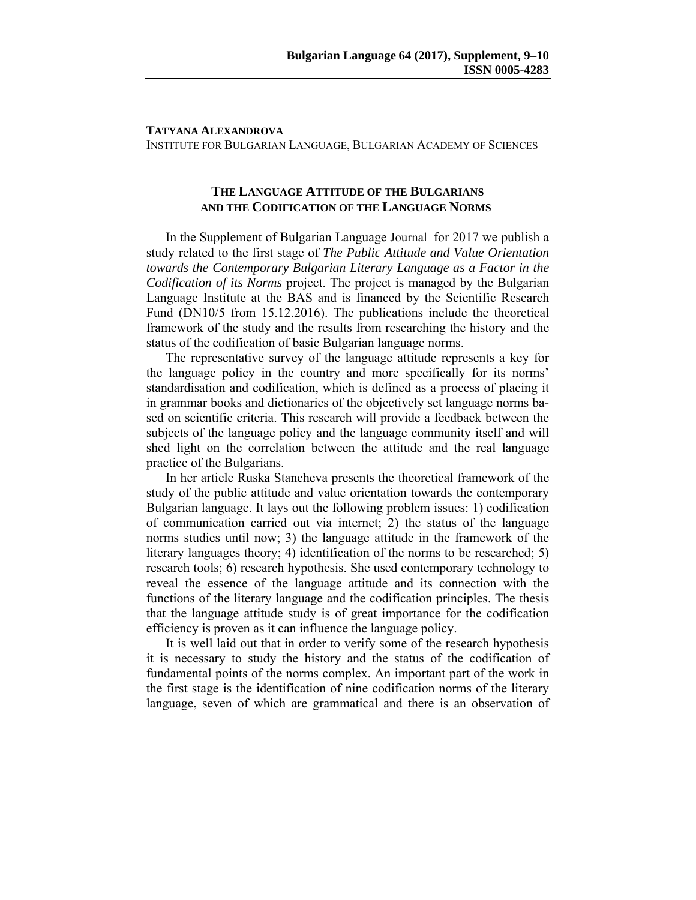## **TATYANA ALEXANDROVA**

INSTITUTE FOR BULGARIAN LANGUAGE, BULGARIAN ACADEMY OF SCIENCES

## **THE LANGUAGE ATTITUDE OF THE BULGARIANS AND THE CODIFICATION OF THE LANGUAGE NORMS**

In the Supplement of Bulgarian Language Journal for 2017 we publish a study related to the first stage of *The Public Attitude and Value Orientation towards the Contemporary Bulgarian Literary Language as a Factor in the Codification of its Norms* project. The project is managed by the Bulgarian Language Institute at the BAS and is financed by the Scientific Research Fund (DN10/5 from 15.12.2016). The publications include the theoretical framework of the study and the results from researching the history and the status of the codification of basic Bulgarian language norms.

The representative survey of the language attitude represents a key for the language policy in the country and more specifically for its norms' standardisation and codification, which is defined as a process of placing it in grammar books and dictionaries of the objectively set language norms based on scientific criteria. This research will provide a feedback between the subjects of the language policy and the language community itself and will shed light on the correlation between the attitude and the real language practice of the Bulgarians.

In her article Ruska Stancheva presents the theoretical framework of the study of the public attitude and value orientation towards the contemporary Bulgarian language. It lays out the following problem issues: 1) codification of communication carried out via internet; 2) the status of the language norms studies until now; 3) the language attitude in the framework of the literary languages theory; 4) identification of the norms to be researched; 5) research tools; 6) research hypothesis. She used contemporary technology to reveal the essence of the language attitude and its connection with the functions of the literary language and the codification principles. The thesis that the language attitude study is of great importance for the codification efficiency is proven as it can influence the language policy.

It is well laid out that in order to verify some of the research hypothesis it is necessary to study the history and the status of the codification of fundamental points of the norms complex. An important part of the work in the first stage is the identification of nine codification norms of the literary language, seven of which are grammatical and there is an observation of